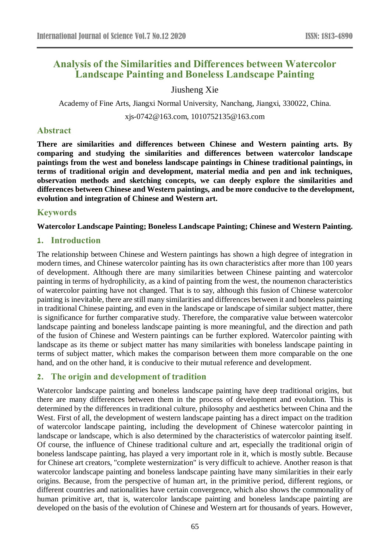# **Analysis of the Similarities and Differences between Watercolor Landscape Painting and Boneless Landscape Painting**

## Jiusheng Xie

Academy of Fine Arts, Jiangxi Normal University, Nanchang, Jiangxi, 330022, China.

xjs-0742@163.com, 1010752135@163.com

## **Abstract**

**There are similarities and differences between Chinese and Western painting arts. By comparing and studying the similarities and differences between watercolor landscape paintings from the west and boneless landscape paintings in Chinese traditional paintings, in terms of traditional origin and development, material media and pen and ink techniques, observation methods and sketching concepts, we can deeply explore the similarities and differences between Chinese and Western paintings, and be more conducive to the development, evolution and integration of Chinese and Western art.**

# **Keywords**

**Watercolor Landscape Painting; Boneless Landscape Painting; Chinese and Western Painting.**

### **1. Introduction**

The relationship between Chinese and Western paintings has shown a high degree of integration in modern times, and Chinese watercolor painting has its own characteristics after more than 100 years of development. Although there are many similarities between Chinese painting and watercolor painting in terms of hydrophilicity, as a kind of painting from the west, the noumenon characteristics of watercolor painting have not changed. That is to say, although this fusion of Chinese watercolor painting is inevitable, there are still many similarities and differences between it and boneless painting in traditional Chinese painting, and even in the landscape or landscape of similar subject matter, there is significance for further comparative study. Therefore, the comparative value between watercolor landscape painting and boneless landscape painting is more meaningful, and the direction and path of the fusion of Chinese and Western paintings can be further explored. Watercolor painting with landscape as its theme or subject matter has many similarities with boneless landscape painting in terms of subject matter, which makes the comparison between them more comparable on the one hand, and on the other hand, it is conducive to their mutual reference and development.

# **2. The origin and development of tradition**

Watercolor landscape painting and boneless landscape painting have deep traditional origins, but there are many differences between them in the process of development and evolution. This is determined by the differences in traditional culture, philosophy and aesthetics between China and the West. First of all, the development of western landscape painting has a direct impact on the tradition of watercolor landscape painting, including the development of Chinese watercolor painting in landscape or landscape, which is also determined by the characteristics of watercolor painting itself. Of course, the influence of Chinese traditional culture and art, especially the traditional origin of boneless landscape painting, has played a very important role in it, which is mostly subtle. Because for Chinese art creators, "complete westernization" is very difficult to achieve. Another reason is that watercolor landscape painting and boneless landscape painting have many similarities in their early origins. Because, from the perspective of human art, in the primitive period, different regions, or different countries and nationalities have certain convergence, which also shows the commonality of human primitive art, that is, watercolor landscape painting and boneless landscape painting are developed on the basis of the evolution of Chinese and Western art for thousands of years. However,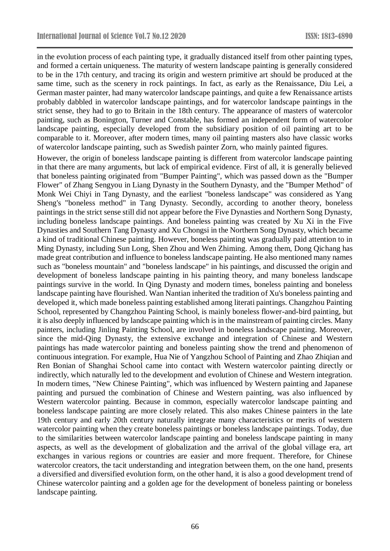in the evolution process of each painting type, it gradually distanced itself from other painting types, and formed a certain uniqueness. The maturity of western landscape painting is generally considered to be in the 17th century, and tracing its origin and western primitive art should be produced at the same time, such as the scenery in rock paintings. In fact, as early as the Renaissance, Diu Lei, a German master painter, had many watercolor landscape paintings, and quite a few Renaissance artists probably dabbled in watercolor landscape paintings, and for watercolor landscape paintings in the strict sense, they had to go to Britain in the 18th century. The appearance of masters of watercolor painting, such as Bonington, Turner and Constable, has formed an independent form of watercolor landscape painting, especially developed from the subsidiary position of oil painting art to be comparable to it. Moreover, after modern times, many oil painting masters also have classic works of watercolor landscape painting, such as Swedish painter Zorn, who mainly painted figures.

However, the origin of boneless landscape painting is different from watercolor landscape painting in that there are many arguments, but lack of empirical evidence. First of all, it is generally believed that boneless painting originated from "Bumper Painting", which was passed down as the "Bumper Flower" of Zhang Sengyou in Liang Dynasty in the Southern Dynasty, and the "Bumper Method" of Monk Wei Chiyi in Tang Dynasty, and the earliest "boneless landscape" was considered as Yang Sheng's "boneless method" in Tang Dynasty. Secondly, according to another theory, boneless paintings in the strict sense still did not appear before the Five Dynasties and Northern Song Dynasty, including boneless landscape paintings. And boneless painting was created by Xu Xi in the Five Dynasties and Southern Tang Dynasty and Xu Chongsi in the Northern Song Dynasty, which became a kind of traditional Chinese painting. However, boneless painting was gradually paid attention to in Ming Dynasty, including Sun Long, Shen Zhou and Wen Zhiming. Among them, Dong Qichang has made great contribution and influence to boneless landscape painting. He also mentioned many names such as "boneless mountain" and "boneless landscape" in his paintings, and discussed the origin and development of boneless landscape painting in his painting theory, and many boneless landscape paintings survive in the world. In Qing Dynasty and modern times, boneless painting and boneless landscape painting have flourished. Wan Nantian inherited the tradition of Xu's boneless painting and developed it, which made boneless painting established among literati paintings. Changzhou Painting School, represented by Changzhou Painting School, is mainly boneless flower-and-bird painting, but it is also deeply influenced by landscape painting which is in the mainstream of painting circles. Many painters, including Jinling Painting School, are involved in boneless landscape painting. Moreover, since the mid-Qing Dynasty, the extensive exchange and integration of Chinese and Western paintings has made watercolor painting and boneless painting show the trend and phenomenon of continuous integration. For example, Hua Nie of Yangzhou School of Painting and Zhao Zhiqian and Ren Bonian of Shanghai School came into contact with Western watercolor painting directly or indirectly, which naturally led to the development and evolution of Chinese and Western integration. In modern times, "New Chinese Painting", which was influenced by Western painting and Japanese painting and pursued the combination of Chinese and Western painting, was also influenced by Western watercolor painting. Because in common, especially watercolor landscape painting and boneless landscape painting are more closely related. This also makes Chinese painters in the late 19th century and early 20th century naturally integrate many characteristics or merits of western watercolor painting when they create boneless paintings or boneless landscape paintings. Today, due to the similarities between watercolor landscape painting and boneless landscape painting in many aspects, as well as the development of globalization and the arrival of the global village era, art exchanges in various regions or countries are easier and more frequent. Therefore, for Chinese watercolor creators, the tacit understanding and integration between them, on the one hand, presents a diversified and diversified evolution form, on the other hand, it is also a good development trend of Chinese watercolor painting and a golden age for the development of boneless painting or boneless landscape painting.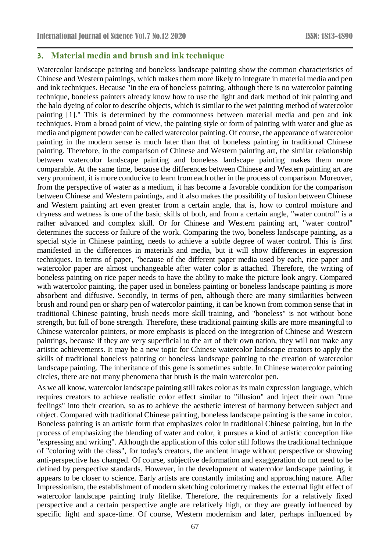### **3. Material media and brush and ink technique**

Watercolor landscape painting and boneless landscape painting show the common characteristics of Chinese and Western paintings, which makes them more likely to integrate in material media and pen and ink techniques. Because "in the era of boneless painting, although there is no watercolor painting technique, boneless painters already know how to use the light and dark method of ink painting and the halo dyeing of color to describe objects, which is similar to the wet painting method of watercolor painting [1]." This is determined by the commonness between material media and pen and ink techniques. From a broad point of view, the painting style or form of painting with water and glue as media and pigment powder can be called watercolor painting. Of course, the appearance of watercolor painting in the modern sense is much later than that of boneless painting in traditional Chinese painting. Therefore, in the comparison of Chinese and Western painting art, the similar relationship between watercolor landscape painting and boneless landscape painting makes them more comparable. At the same time, because the differences between Chinese and Western painting art are very prominent, it is more conducive to learn from each other in the process of comparison. Moreover, from the perspective of water as a medium, it has become a favorable condition for the comparison between Chinese and Western paintings, and it also makes the possibility of fusion between Chinese and Western painting art even greater from a certain angle, that is, how to control moisture and dryness and wetness is one of the basic skills of both, and from a certain angle, "water control" is a rather advanced and complex skill. Or for Chinese and Western painting art, "water control" determines the success or failure of the work. Comparing the two, boneless landscape painting, as a special style in Chinese painting, needs to achieve a subtle degree of water control. This is first manifested in the differences in materials and media, but it will show differences in expression techniques. In terms of paper, "because of the different paper media used by each, rice paper and watercolor paper are almost unchangeable after water color is attached. Therefore, the writing of boneless painting on rice paper needs to have the ability to make the picture look angry. Compared with watercolor painting, the paper used in boneless painting or boneless landscape painting is more absorbent and diffusive. Secondly, in terms of pen, although there are many similarities between brush and round pen or sharp pen of watercolor painting, it can be known from common sense that in traditional Chinese painting, brush needs more skill training, and "boneless" is not without bone strength, but full of bone strength. Therefore, these traditional painting skills are more meaningful to Chinese watercolor painters, or more emphasis is placed on the integration of Chinese and Western paintings, because if they are very superficial to the art of their own nation, they will not make any artistic achievements. It may be a new topic for Chinese watercolor landscape creators to apply the skills of traditional boneless painting or boneless landscape painting to the creation of watercolor landscape painting. The inheritance of this gene is sometimes subtle. In Chinese watercolor painting circles, there are not many phenomena that brush is the main watercolor pen.

As we all know, watercolor landscape painting still takes color as its main expression language, which requires creators to achieve realistic color effect similar to "illusion" and inject their own "true feelings" into their creation, so as to achieve the aesthetic interest of harmony between subject and object. Compared with traditional Chinese painting, boneless landscape painting is the same in color. Boneless painting is an artistic form that emphasizes color in traditional Chinese painting, but in the process of emphasizing the blending of water and color, it pursues a kind of artistic conception like "expressing and writing". Although the application of this color still follows the traditional technique of "coloring with the class", for today's creators, the ancient image without perspective or showing anti-perspective has changed. Of course, subjective deformation and exaggeration do not need to be defined by perspective standards. However, in the development of watercolor landscape painting, it appears to be closer to science. Early artists are constantly imitating and approaching nature. After Impressionism, the establishment of modern sketching colorimetry makes the external light effect of watercolor landscape painting truly lifelike. Therefore, the requirements for a relatively fixed perspective and a certain perspective angle are relatively high, or they are greatly influenced by specific light and space-time. Of course, Western modernism and later, perhaps influenced by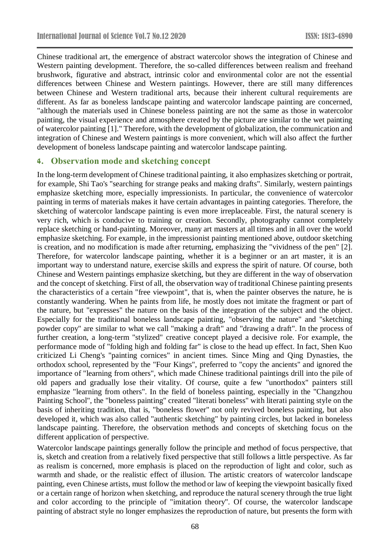Chinese traditional art, the emergence of abstract watercolor shows the integration of Chinese and Western painting development. Therefore, the so-called differences between realism and freehand brushwork, figurative and abstract, intrinsic color and environmental color are not the essential differences between Chinese and Western paintings. However, there are still many differences between Chinese and Western traditional arts, because their inherent cultural requirements are different. As far as boneless landscape painting and watercolor landscape painting are concerned, "although the materials used in Chinese boneless painting are not the same as those in watercolor painting, the visual experience and atmosphere created by the picture are similar to the wet painting of watercolor painting [1]." Therefore, with the development of globalization, the communication and integration of Chinese and Western paintings is more convenient, which will also affect the further development of boneless landscape painting and watercolor landscape painting.

## **4. Observation mode and sketching concept**

In the long-term development of Chinese traditional painting, it also emphasizes sketching or portrait, for example, Shi Tao's "searching for strange peaks and making drafts". Similarly, western paintings emphasize sketching more, especially impressionists. In particular, the convenience of watercolor painting in terms of materials makes it have certain advantages in painting categories. Therefore, the sketching of watercolor landscape painting is even more irreplaceable. First, the natural scenery is very rich, which is conducive to training or creation. Secondly, photography cannot completely replace sketching or hand-painting. Moreover, many art masters at all times and in all over the world emphasize sketching. For example, in the impressionist painting mentioned above, outdoor sketching is creation, and no modification is made after returning, emphasizing the "vividness of the pen" [2]. Therefore, for watercolor landscape painting, whether it is a beginner or an art master, it is an important way to understand nature, exercise skills and express the spirit of nature. Of course, both Chinese and Western paintings emphasize sketching, but they are different in the way of observation and the concept of sketching. First of all, the observation way of traditional Chinese painting presents the characteristics of a certain "free viewpoint", that is, when the painter observes the nature, he is constantly wandering. When he paints from life, he mostly does not imitate the fragment or part of the nature, but "expresses" the nature on the basis of the integration of the subject and the object. Especially for the traditional boneless landscape painting, "observing the nature" and "sketching powder copy" are similar to what we call "making a draft" and "drawing a draft". In the process of further creation, a long-term "stylized" creative concept played a decisive role. For example, the performance mode of "folding high and folding far" is close to the head up effect. In fact, Shen Kuo criticized Li Cheng's "painting cornices" in ancient times. Since Ming and Qing Dynasties, the orthodox school, represented by the "Four Kings", preferred to "copy the ancients" and ignored the importance of "learning from others", which made Chinese traditional paintings drill into the pile of old papers and gradually lose their vitality. Of course, quite a few "unorthodox" painters still emphasize "learning from others". In the field of boneless painting, especially in the "Changzhou Painting School", the "boneless painting" created "literati boneless" with literati painting style on the basis of inheriting tradition, that is, "boneless flower" not only revived boneless painting, but also developed it, which was also called "authentic sketching" by painting circles, but lacked in boneless landscape painting. Therefore, the observation methods and concepts of sketching focus on the different application of perspective.

Watercolor landscape paintings generally follow the principle and method of focus perspective, that is, sketch and creation from a relatively fixed perspective that still follows a little perspective. As far as realism is concerned, more emphasis is placed on the reproduction of light and color, such as warmth and shade, or the realistic effect of illusion. The artistic creators of watercolor landscape painting, even Chinese artists, must follow the method or law of keeping the viewpoint basically fixed or a certain range of horizon when sketching, and reproduce the natural scenery through the true light and color according to the principle of "imitation theory". Of course, the watercolor landscape painting of abstract style no longer emphasizes the reproduction of nature, but presents the form with